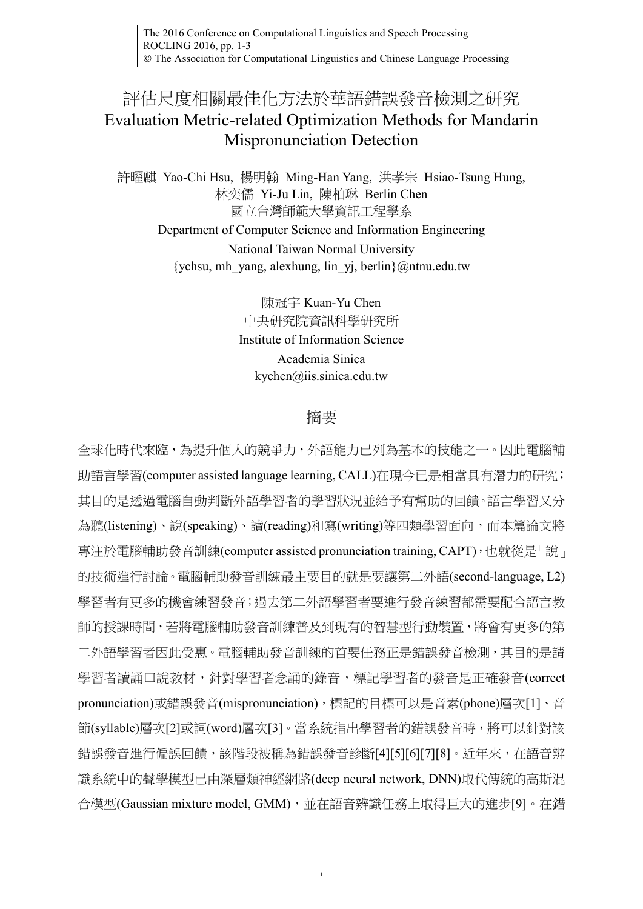The 2016 Conference on Computational Linguistics and Speech Processing ROCLING 2016, pp. 1-3 The Association for Computational Linguistics and Chinese Language Processing

## 評估尺度相關最佳化方法於華語錯誤發音檢測之研究 Evaluation Metric-related Optimization Methods for Mandarin Mispronunciation Detection

許曜麒 Yao-Chi Hsu, 楊明翰 Ming-Han Yang, 洪孝宗 Hsiao-Tsung Hung, 林奕儒 Yi-Ju Lin, 陳柏琳 Berlin Chen 國立台灣師範大學資訊工程學系

Department of Computer Science and Information Engineering National Taiwan Normal University  $\{\text{ychsu, mh. yang, alexhung, lin. yi, berlin}\}\$ @ntnu.edu.tw

> 陳冠宇 Kuan-Yu Chen 中央研究院資訊科學研究所 Institute of Information Science Academia Sinica kychen@iis.sinica.edu.tw

## 摘要

全球化時代來臨,為提升個人的競爭力,外語能力已列為基本的技能之一。因此電腦輔 助語言學習(computer assisted language learning, CALL)在現今已是相當具有潛力的研究; 其目的是透過電腦自動判斷外語學習者的學習狀況並給予有幫助的回饋。語言學習又分 為聽(listening)、說(speaking)、讀(reading)和寫(writing)等四類學習面向,而本篇論文將 專注於電腦輔助發音訓練(computer assisted pronunciation training, CAPT),也就從是「說」 的技術進行討論。電腦輔助發音訓練最主要目的就是要讓第二外語(second-language, L2) 學習者有更多的機會練習發音;過去第二外語學習者要進行發音練習都需要配合語言教 師的授課時間,若將電腦輔助發音訓練普及到現有的智慧型行動裝置,將會有更多的第 二外語學習者因此受惠。電腦輔助發音訓練的首要任務正是錯誤發音檢測,其目的是請 學習者讀誦口說教材,針對學習者念誦的錄音,標記學習者的發音是正確發音(correct pronunciation)或錯誤發音(mispronunciation),標記的目標可以是音素(phone)層次[\[1\]](#page-1-0)、音 節(syllable)層次[\[2\]](#page-1-1)或詞(word)層次[\[3\]](#page-1-2)。當系統指出學習者的錯誤發音時,將可以針對該 錯誤發音進行偏誤回饋,該階段被稱為錯誤發音診斷[\[4\]\[5\]](#page-1-3)[\[6\]\[7\]](#page-2-0)[\[8\]](#page-2-1)。近年來,在語音辨 識系統中的聲學模型已由深層類神經網路(deep neural network, DNN)取代傳統的高斯混 合模型(Gaussian mixture model, GMM),並在語音辨識任務上取得巨大的進步[\[9\]](#page-2-2)。在錯

1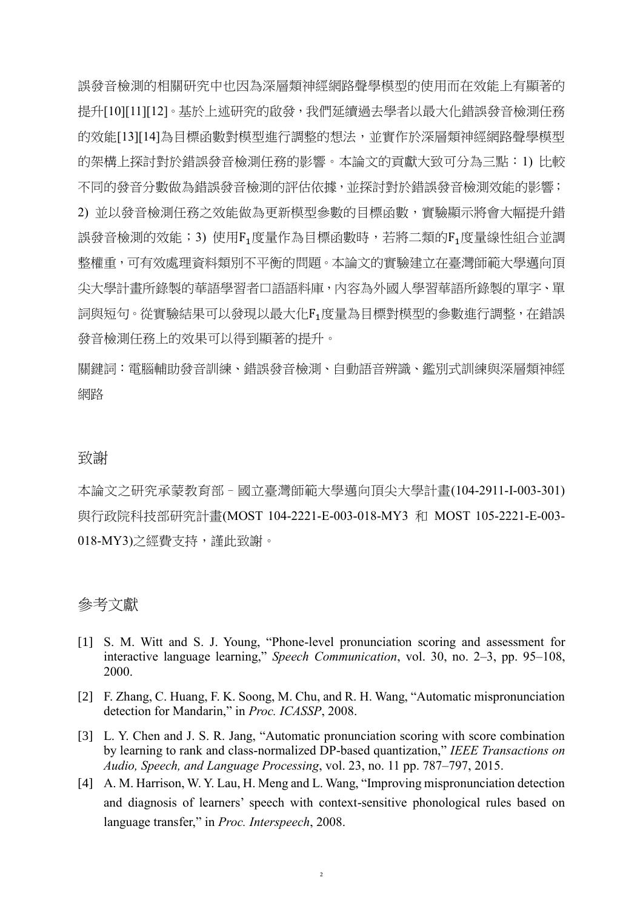誤發音檢測的相關研究中也因為深層類神經網路聲學模型的使用而在效能上有顯著的 提升[\[10\]\[11\]](#page-2-3)[\[12\]](#page-2-4)。基於上述研究的啟發,我們延續過去學者以最大化錯誤發音檢測任務 的效能[\[13\]\[14\]](#page-2-5)為目標函數對模型進行調整的想法,並實作於深層類神經網路聲學模型 的架構上探討對於錯誤發音檢測任務的影響。本論文的貢獻大致可分為三點:1) 比較 不同的發音分數做為錯誤發音檢測的評估依據,並探討對於錯誤發音檢測效能的影響; 2) 並以發音檢測任務之效能做為更新模型參數的目標函數,實驗顯示將會大幅提升錯 誤發音檢測的效能;3) 使用F<sub>1</sub>度量作為目標函數時,若將二類的F<sub>1</sub>度量線性組合並調 整權重,可有效處理資料類別不平衡的問題。本論文的實驗建立在臺灣師範大學邁向頂 尖大學計畫所錄製的華語學習者口語語料庫,內容為外國人學習華語所錄製的單字、單 詞與短句。從實驗結果可以發現以最大化F1度量為目標對模型的參數進行調整,在錯誤 發音檢測任務上的效果可以得到顯著的提升。

關鍵詞:電腦輔助發音訓練、錯誤發音檢測、自動語音辨識、鑑別式訓練與深層類神經 網路

## 致謝

本論文之研究承蒙教育部–國立臺灣師範大學邁向頂尖大學計畫(104-2911-I-003-301) 與行政院科技部研究計畫(MOST 104-2221-E-003-018-MY3 和 MOST 105-2221-E-003- 018-MY3)之經費支持,謹此致謝。

## 參考文獻

- <span id="page-1-0"></span>[1] S. M. Witt and S. J. Young, "Phone-level pronunciation scoring and assessment for interactive language learning," *Speech Communication*, vol. 30, no. 2–3, pp. 95–108, 2000.
- <span id="page-1-1"></span>[2] F. Zhang, C. Huang, F. K. Soong, M. Chu, and R. H. Wang, "Automatic mispronunciation detection for Mandarin," in *Proc. ICASSP*, 2008.
- <span id="page-1-2"></span>[3] L. Y. Chen and J. S. R. Jang, "Automatic pronunciation scoring with score combination by learning to rank and class-normalized DP-based quantization," *IEEE Transactions on Audio, Speech, and Language Processing*, vol. 23, no. 11 pp. 787–797, 2015.
- <span id="page-1-3"></span>[4] A. M. Harrison, W. Y. Lau, H. Meng and L. Wang, "Improving mispronunciation detection and diagnosis of learners' speech with context-sensitive phonological rules based on language transfer," in *Proc. Interspeech*, 2008.